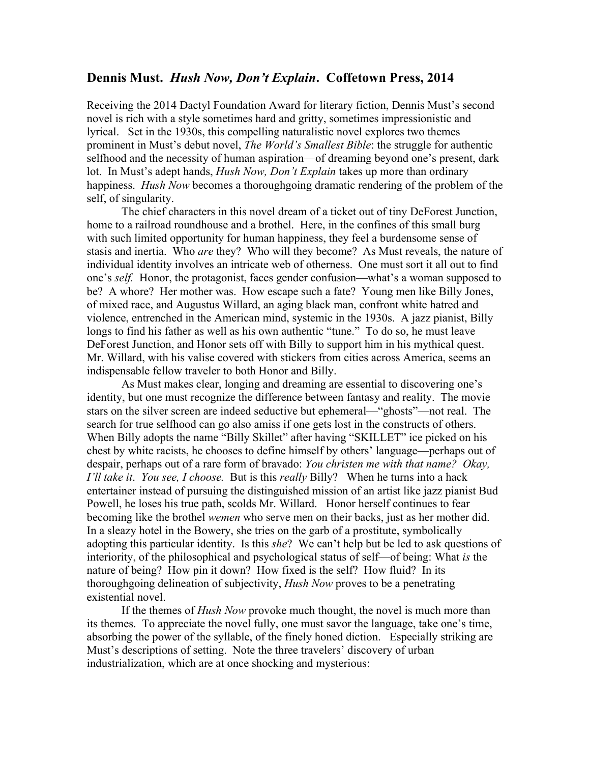## **Dennis Must.** *Hush Now, Don't Explain***. Coffetown Press, 2014**

Receiving the 2014 Dactyl Foundation Award for literary fiction, Dennis Must's second novel is rich with a style sometimes hard and gritty, sometimes impressionistic and lyrical. Set in the 1930s, this compelling naturalistic novel explores two themes prominent in Must's debut novel, *The World's Smallest Bible*: the struggle for authentic selfhood and the necessity of human aspiration—of dreaming beyond one's present, dark lot. In Must's adept hands, *Hush Now, Don't Explain* takes up more than ordinary happiness. *Hush Now* becomes a thoroughgoing dramatic rendering of the problem of the self, of singularity.

The chief characters in this novel dream of a ticket out of tiny DeForest Junction, home to a railroad roundhouse and a brothel. Here, in the confines of this small burg with such limited opportunity for human happiness, they feel a burdensome sense of stasis and inertia. Who *are* they? Who will they become? As Must reveals, the nature of individual identity involves an intricate web of otherness. One must sort it all out to find one's *self.* Honor, the protagonist, faces gender confusion—what's a woman supposed to be? A whore? Her mother was. How escape such a fate? Young men like Billy Jones, of mixed race, and Augustus Willard, an aging black man, confront white hatred and violence, entrenched in the American mind, systemic in the 1930s. A jazz pianist, Billy longs to find his father as well as his own authentic "tune." To do so, he must leave DeForest Junction, and Honor sets off with Billy to support him in his mythical quest. Mr. Willard, with his valise covered with stickers from cities across America, seems an indispensable fellow traveler to both Honor and Billy.

As Must makes clear, longing and dreaming are essential to discovering one's identity, but one must recognize the difference between fantasy and reality. The movie stars on the silver screen are indeed seductive but ephemeral—"ghosts"—not real. The search for true selfhood can go also amiss if one gets lost in the constructs of others. When Billy adopts the name "Billy Skillet" after having "SKILLET" ice picked on his chest by white racists, he chooses to define himself by others' language—perhaps out of despair, perhaps out of a rare form of bravado: *You christen me with that name? Okay, I'll take it*. *You see, I choose.* But is this *really* Billy? When he turns into a hack entertainer instead of pursuing the distinguished mission of an artist like jazz pianist Bud Powell, he loses his true path, scolds Mr. Willard. Honor herself continues to fear becoming like the brothel *wemen* who serve men on their backs, just as her mother did. In a sleazy hotel in the Bowery, she tries on the garb of a prostitute, symbolically adopting this particular identity. Is this *she*? We can't help but be led to ask questions of interiority, of the philosophical and psychological status of self—of being: What *is* the nature of being? How pin it down? How fixed is the self? How fluid? In its thoroughgoing delineation of subjectivity, *Hush Now* proves to be a penetrating existential novel.

If the themes of *Hush Now* provoke much thought, the novel is much more than its themes. To appreciate the novel fully, one must savor the language, take one's time, absorbing the power of the syllable, of the finely honed diction. Especially striking are Must's descriptions of setting. Note the three travelers' discovery of urban industrialization, which are at once shocking and mysterious: